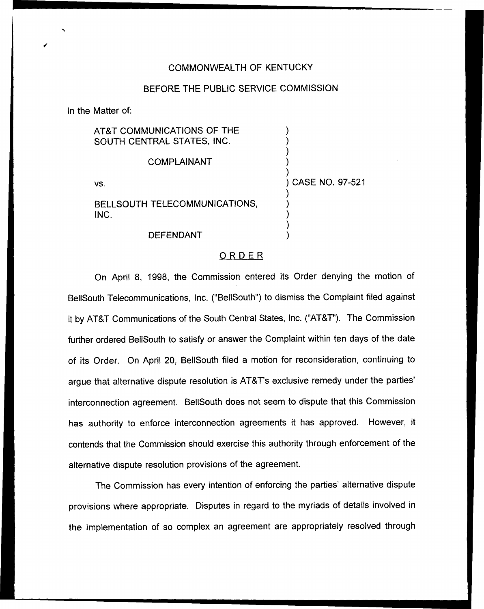## COMMONWEALTH OF KENTUCKY

## BEFORE THE PUBLIC SERVICE COMMISSION

In the Matter of:

| AT&T COMMUNICATIONS OF THE<br>SOUTH CENTRAL STATES, INC. |                   |
|----------------------------------------------------------|-------------------|
| <b>COMPLAINANT</b>                                       |                   |
| VS.                                                      | ) CASE NO. 97-521 |
| <b>BELLSOUTH TELECOMMUNICATIONS,</b><br>INC.             |                   |
| DEFENDANT                                                |                   |

## ORDER

On April 8, 1998, the Commission entered its Order denying the motion of BellSouth Telecommunications, Inc. ("BellSouth") to dismiss the Complaint filed against it by AT8T Communications of the South Central States, Inc. ("ATBT"). The Commission further ordered BellSouth to satisfy or answer the Complaint within ten days of the date of its Order. On April 20, BellSouth filed a motion for reconsideration, continuing to argue that alternative dispute resolution is AT&T's exclusive remedy under the parties' agreement. BellSouth does not seem to dispute that this Commissic has authority to enforce interconnection agreements it has approved. However, it contends that the Commission should exercise this authority through enforcement of the alternative dispute resolution provisions of the agreement.

The Commission has every intention of enforcing the parties' alternative dispute provisions where appropriate. Disputes in regard to the myriads of details involved in the implementation of so complex an agreement are appropriately resolved through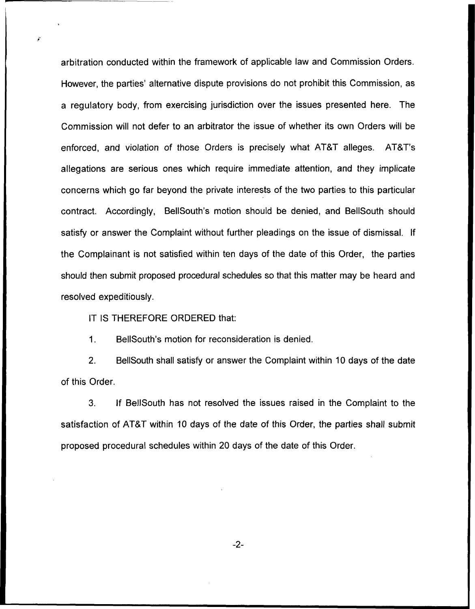arbitration conducted within the framework of applicable law and Commission Orders. However, the parties' alternative dispute provisions do not prohibit this Commission, as a regulatory body, from exercising jurisdiction over the issues presented here. The Commission will not defer to an arbitrator the issue of whether its own Orders will be enforced, and violation of those Orders is precisely what AT&T alleges. AT&T's allegations are serious ones which require immediate attention, and they implicate concerns which go far beyond the private interests of the two parties to this particular contract. Accordingly, BellSouth's motion should be denied, and BellSouth should satisfy or answer the Complaint without further pleadings on the issue of dismissal. If the Complainant is not satisfied within ten days of the date of this Order, the parties should then submit proposed procedural schedules so that this matter may be heard and resolved expeditiously.

IT IS THEREFORE ORDERED that:

BellSouth's motion for reconsideration is denied.  $1<sub>1</sub>$ 

2. BellSouth shall satisfy or answer the Complaint within 10 days of the date of this Order.

3. If BellSouth has not resolved the issues raised in the Complaint to the satisfaction of AT&T within 10 days of the date of this Order, the parties shall submit proposed procedural schedules within 20 days of the date of this Order.

 $-2-$